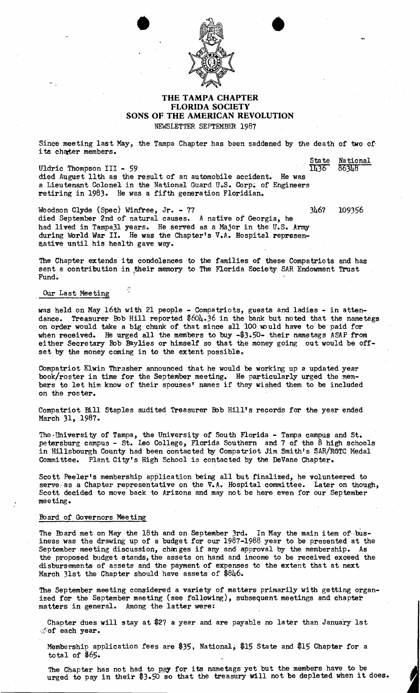

## **THE TAMPA CHAPTER** .**FLORIDA SOCIETY SONS OF THE AMERICAN REVOLUTION** NEWSLETTER SEPTEMBER 1987

Since meeting last May, the Tampa Chapter has been saddened by the death of two of its chater members.

State National<br>1436 86348 Uldric Thompson III - 59 died August 11th as the result of an automobile accident. He was a Lieutenant Colonel in the National Guard U.S. Corp. of Engineers retiring in 1983. He was a fifth generation Floridian.

Woodson Clyde (Spec) Winfree, Jr. - 77 3467 109356 died September 2nd of natural causes. A native of Georgia, he had lived in Tampa31 years. He served as a Major in the U.S. Army during World War II. He was the Chapter's V.A. Hospital representative until his health gave way.

The Chapter extends its condolences to the families of these Compatriots and has sent a contribution in their memory to The Florida Society SAR Endowment Trust Fund.

Our Last Meeting

was held on May 16th with 21 people - Compatriots, guests and ladies - in attendance. Treasurer Bob Hill reported \$604.36 in the bank but noted that the nametags on order would take a big chunk of that since all 100 would have to be paid for when received. He urged all the members to buy -\$3.50- their nametags ASAP from either Secretary Bob Baylies or himself so that the money going out would be offset by the money coming in to the extent possible.

Compatriot Elwin Thrasher announced that he would be working up a updated year book/roster in time for the September meeting. He particularly urged the members to let him know of their spouses' names if they wished them to be included on the roster.

Compatriot Bill Staples audited Treasurer Bob Hill's records for the year ended March 31, 1987.

Tne~University of Tampa, the University of South Florida - Tampa campus and St. petersburg campus - St. Leo College, Florida Southern and 7 of the 8 high schools in Hillsbourgh County had been contacted by Compatriot Jim Smith's SAR/ROTC Medal Committee. Plant City's High School is contacted by the DeVane Chapter.

Scott Peeler's membership application being all but finalized, he volunteered to serve as a Chapter representative on the V.A. Hospital committee. Later on though, Scott decided to move back to Arizona and may not be here even for our September meeting.

## Foard of Governors Meeting

The Board met on May the 18th and on September 3rd. In May the main item of business was the drawing up of a budget for our 1987-1988 year to be presented at the September meeting discussion, changes if any and approval by the membership. As the proposed budget stands, the assets on hand and income to be received exceed the disbursements of assets and the payment of expenses to the extent that at next March 31st the Chapter should have assets of \$846.

The September meeting considered a variety of matters primarily with getting organized for the September meeting (see following), subsequent meetings and chapter matters in general. Among the latter were:

Chapter dues will stay at \$21 a year and are payable no later than January 1st cof each year.

Membership application fees are \$35, National, \$15 State and \$15 Chapter for. a total of \$65.

The Chapter has not had to pay for its nametags yet but the members have to be urged to pay in their \$3.50 so that the treasury will not be depleted when it does.